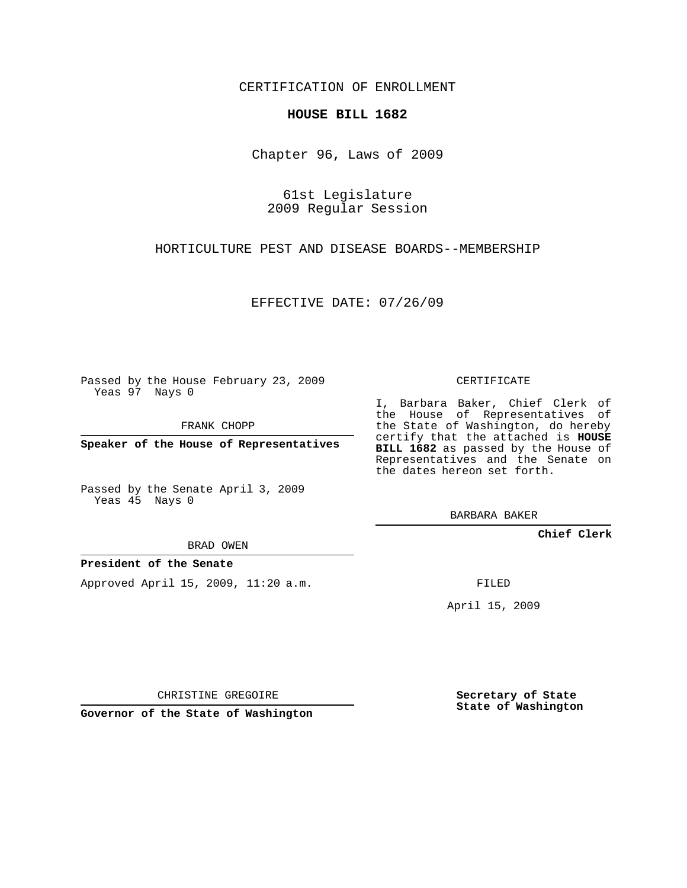CERTIFICATION OF ENROLLMENT

## **HOUSE BILL 1682**

Chapter 96, Laws of 2009

61st Legislature 2009 Regular Session

HORTICULTURE PEST AND DISEASE BOARDS--MEMBERSHIP

EFFECTIVE DATE: 07/26/09

Passed by the House February 23, 2009 Yeas 97 Nays 0

FRANK CHOPP

**Speaker of the House of Representatives**

Passed by the Senate April 3, 2009 Yeas 45 Nays 0

BRAD OWEN

## **President of the Senate**

Approved April 15, 2009, 11:20 a.m.

CERTIFICATE

I, Barbara Baker, Chief Clerk of the House of Representatives of the State of Washington, do hereby certify that the attached is **HOUSE BILL 1682** as passed by the House of Representatives and the Senate on the dates hereon set forth.

BARBARA BAKER

**Chief Clerk**

FILED

April 15, 2009

CHRISTINE GREGOIRE

**Governor of the State of Washington**

**Secretary of State State of Washington**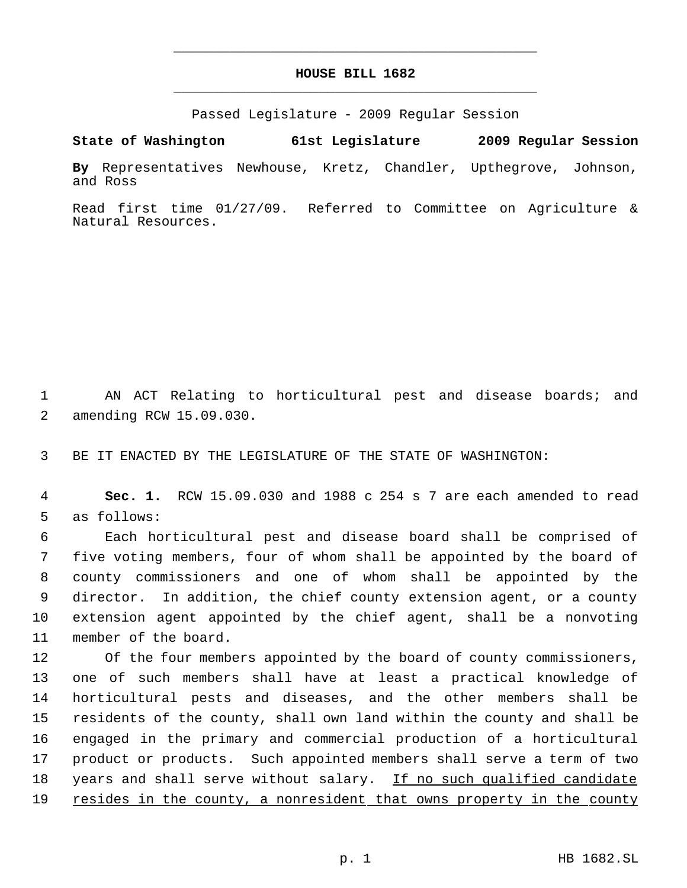## **HOUSE BILL 1682** \_\_\_\_\_\_\_\_\_\_\_\_\_\_\_\_\_\_\_\_\_\_\_\_\_\_\_\_\_\_\_\_\_\_\_\_\_\_\_\_\_\_\_\_\_

\_\_\_\_\_\_\_\_\_\_\_\_\_\_\_\_\_\_\_\_\_\_\_\_\_\_\_\_\_\_\_\_\_\_\_\_\_\_\_\_\_\_\_\_\_

Passed Legislature - 2009 Regular Session

**State of Washington 61st Legislature 2009 Regular Session**

**By** Representatives Newhouse, Kretz, Chandler, Upthegrove, Johnson, and Ross

Read first time 01/27/09. Referred to Committee on Agriculture & Natural Resources.

 1 AN ACT Relating to horticultural pest and disease boards; and 2 amending RCW 15.09.030.

3 BE IT ENACTED BY THE LEGISLATURE OF THE STATE OF WASHINGTON:

 4 **Sec. 1.** RCW 15.09.030 and 1988 c 254 s 7 are each amended to read 5 as follows:

 Each horticultural pest and disease board shall be comprised of five voting members, four of whom shall be appointed by the board of county commissioners and one of whom shall be appointed by the director. In addition, the chief county extension agent, or a county extension agent appointed by the chief agent, shall be a nonvoting member of the board.

 Of the four members appointed by the board of county commissioners, one of such members shall have at least a practical knowledge of horticultural pests and diseases, and the other members shall be residents of the county, shall own land within the county and shall be engaged in the primary and commercial production of a horticultural product or products. Such appointed members shall serve a term of two 18 years and shall serve without salary. If no such qualified candidate 19 resides in the county, a nonresident that owns property in the county